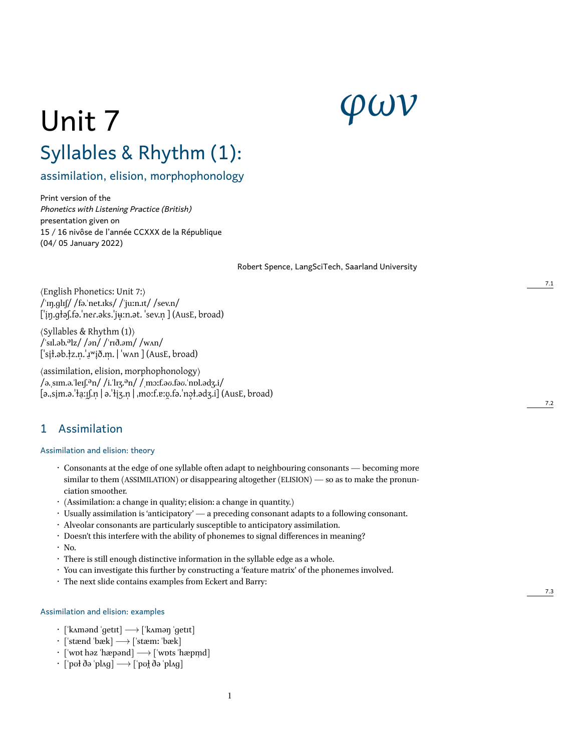# *φων*

# Unit 7 Syllables & Rhythm (1):

assimilation, elision, morphophonology

Print version of the *Phonetics with Listening Practice (British)* presentation given on 15 / 16 nivôse de l'année CCXXX de la République (04/ 05 January 2022)

Robert Spence, LangSciTech, Saarland University

⟨English Phonetics: Unit 7:⟩ /ˈɪŋ.ɡlɪʃ/ /fə.ˈnet.ɪks/ /ˈjuːn.ɪt/ /sev.n/ [ˈi̞ŋ.ɡtəʃ.fə.ˈneɾ.əks.ˈjʉ̞ːn.ət. ˈsev.n̩ ] (AusE, broad)

⟨Syllables & Rhythm (1)⟩ /ˈsɪl.əb.əlz/ /*ə*n/ /ˈrɪð.*ə*m/ /wʌn/ ['si̯ł.əb.łz.n̩.'ɹʷi̯ð.m̩. | 'wʌn ] (AusE, broad)

⟨assimilation, elision, morphophonology⟩ /ə.ˌsɪm.ə.ˈleɪʃ.ən/ /i.ˈlɪʒ.ən/ /ˌmɔːf.ə*ʊ*.fə*ʊ*.ˈnɒl.ədʒ.i/ [ə.ˌsim.ə.ˈɫa ̞ ːɪ̠ ʃ.n̯ ̩ | ə.ˈɫiʒ.n̞ ̩ | ˌmoːf.ɐːʊ.fə.ˈnɔ ̯ ɫ.ədʒ.i] (AusE, broad) ̝

## 1 Assimilation

#### Assimilation and elision: theory

- Consonants at the edge of one syllable often adapt to neighbouring consonants becoming more similar to them (ASSIMILATION) or disappearing altogether (ELISION) — so as to make the pronunciation smoother.
- (Assimilation: a change in quality; elision: a change in quantity.)
- Usually assimilation is 'anticipatory' a preceding consonant adapts to a following consonant.
- Alveolar consonants are particularly susceptible to anticipatory assimilation.
- Doesn't this interfere with the ability of phonemes to signal differences in meaning?
- No.
- There is still enough distinctive information in the syllable edge as a whole.
- You can investigate this further by constructing a 'feature matrix' of the phonemes involved.
- The next slide contains examples from Eckert and Barry:

#### Assimilation and elision: examples

- [ˈkʌmənd ˈɡetɪt] *−→* [ˈkʌməŋ ˈɡetɪt]
- [ˈstænd ˈbæk] *−→* [ˈstæmː ˈbæk]
- [ˈwɒt həz ˈhæpənd] *−→* [ˈwɒts ˈhæpm̩ d]
- [ˈpʊɫ ðə ˈplʌɡ] *−→* [ˈpʊɫ̪ ðə ˈplʌɡ]

7.2

7.3

7.1